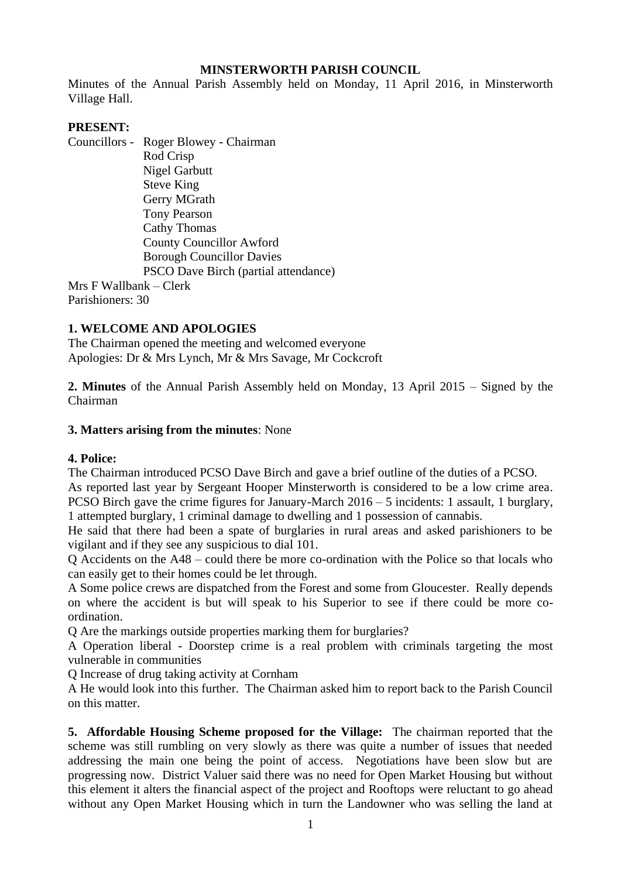### **MINSTERWORTH PARISH COUNCIL**

Minutes of the Annual Parish Assembly held on Monday, 11 April 2016, in Minsterworth Village Hall.

### **PRESENT:**

Councillors - Roger Blowey - Chairman Rod Crisp Nigel Garbutt Steve King Gerry MGrath Tony Pearson Cathy Thomas County Councillor Awford Borough Councillor Davies PSCO Dave Birch (partial attendance) Mrs F Wallbank – Clerk

Parishioners: 30

# **1. WELCOME AND APOLOGIES**

The Chairman opened the meeting and welcomed everyone Apologies: Dr & Mrs Lynch, Mr & Mrs Savage, Mr Cockcroft

**2. Minutes** of the Annual Parish Assembly held on Monday, 13 April 2015 – Signed by the Chairman

### **3. Matters arising from the minutes**: None

# **4. Police:**

The Chairman introduced PCSO Dave Birch and gave a brief outline of the duties of a PCSO. As reported last year by Sergeant Hooper Minsterworth is considered to be a low crime area. PCSO Birch gave the crime figures for January-March 2016 – 5 incidents: 1 assault, 1 burglary,

1 attempted burglary, 1 criminal damage to dwelling and 1 possession of cannabis.

He said that there had been a spate of burglaries in rural areas and asked parishioners to be vigilant and if they see any suspicious to dial 101.

Q Accidents on the A48 – could there be more co-ordination with the Police so that locals who can easily get to their homes could be let through.

A Some police crews are dispatched from the Forest and some from Gloucester. Really depends on where the accident is but will speak to his Superior to see if there could be more coordination.

Q Are the markings outside properties marking them for burglaries?

A Operation liberal - Doorstep crime is a real problem with criminals targeting the most vulnerable in communities

Q Increase of drug taking activity at Cornham

A He would look into this further. The Chairman asked him to report back to the Parish Council on this matter.

**5. Affordable Housing Scheme proposed for the Village:** The chairman reported that the scheme was still rumbling on very slowly as there was quite a number of issues that needed addressing the main one being the point of access. Negotiations have been slow but are progressing now. District Valuer said there was no need for Open Market Housing but without this element it alters the financial aspect of the project and Rooftops were reluctant to go ahead without any Open Market Housing which in turn the Landowner who was selling the land at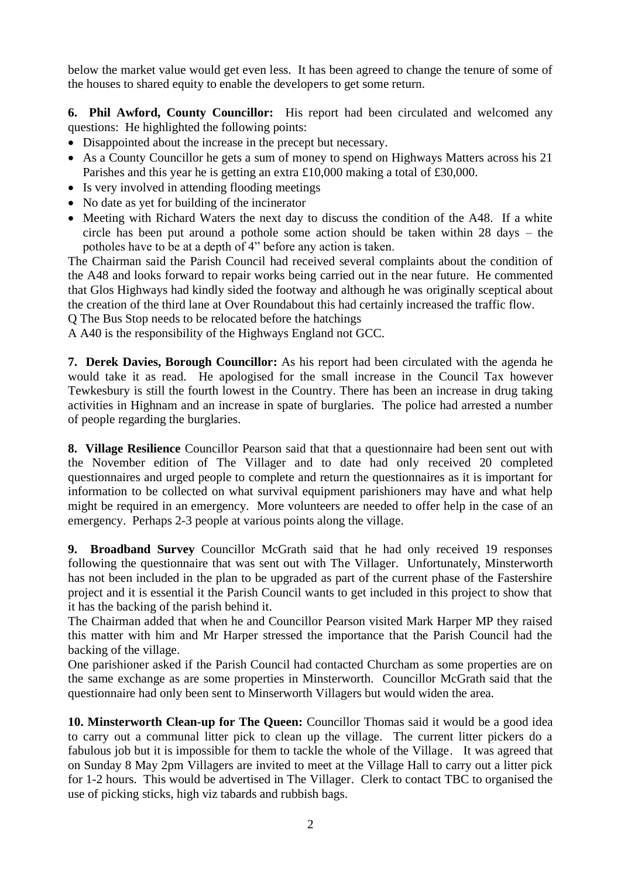below the market value would get even less. It has been agreed to change the tenure of some of the houses to shared equity to enable the developers to get some return.

**6. Phil Awford, County Councillor:** His report had been circulated and welcomed any questions: He highlighted the following points:

- Disappointed about the increase in the precept but necessary.
- As a County Councillor he gets a sum of money to spend on Highways Matters across his 21 Parishes and this year he is getting an extra £10,000 making a total of £30,000.
- Is very involved in attending flooding meetings
- No date as yet for building of the incinerator
- Meeting with Richard Waters the next day to discuss the condition of the A48. If a white circle has been put around a pothole some action should be taken within 28 days – the potholes have to be at a depth of 4" before any action is taken.

The Chairman said the Parish Council had received several complaints about the condition of the A48 and looks forward to repair works being carried out in the near future. He commented that Glos Highways had kindly sided the footway and although he was originally sceptical about the creation of the third lane at Over Roundabout this had certainly increased the traffic flow.

Q The Bus Stop needs to be relocated before the hatchings

A A40 is the responsibility of the Highways England not GCC.

**7. Derek Davies, Borough Councillor:** As his report had been circulated with the agenda he would take it as read. He apologised for the small increase in the Council Tax however Tewkesbury is still the fourth lowest in the Country. There has been an increase in drug taking activities in Highnam and an increase in spate of burglaries. The police had arrested a number of people regarding the burglaries.

**8. Village Resilience** Councillor Pearson said that that a questionnaire had been sent out with the November edition of The Villager and to date had only received 20 completed questionnaires and urged people to complete and return the questionnaires as it is important for information to be collected on what survival equipment parishioners may have and what help might be required in an emergency. More volunteers are needed to offer help in the case of an emergency. Perhaps 2-3 people at various points along the village.

**9. Broadband Survey** Councillor McGrath said that he had only received 19 responses following the questionnaire that was sent out with The Villager. Unfortunately, Minsterworth has not been included in the plan to be upgraded as part of the current phase of the Fastershire project and it is essential it the Parish Council wants to get included in this project to show that it has the backing of the parish behind it.

The Chairman added that when he and Councillor Pearson visited Mark Harper MP they raised this matter with him and Mr Harper stressed the importance that the Parish Council had the backing of the village.

One parishioner asked if the Parish Council had contacted Churcham as some properties are on the same exchange as are some properties in Minsterworth. Councillor McGrath said that the questionnaire had only been sent to Minserworth Villagers but would widen the area.

**10. Minsterworth Clean-up for The Queen:** Councillor Thomas said it would be a good idea to carry out a communal litter pick to clean up the village. The current litter pickers do a fabulous job but it is impossible for them to tackle the whole of the Village. It was agreed that on Sunday 8 May 2pm Villagers are invited to meet at the Village Hall to carry out a litter pick for 1-2 hours. This would be advertised in The Villager. Clerk to contact TBC to organised the use of picking sticks, high viz tabards and rubbish bags.